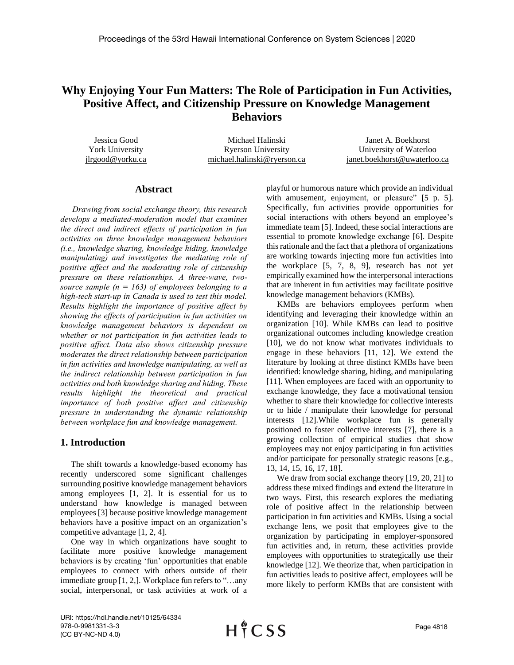# **Why Enjoying Your Fun Matters: The Role of Participation in Fun Activities, Positive Affect, and Citizenship Pressure on Knowledge Management Behaviors**

Jessica Good York University jlrgood@yorku.ca Michael Halinski Ryerson University michael.halinski@ryerson.ca Janet A. Boekhorst University of Waterloo janet.boekhorst@uwaterloo.ca

# **Abstract**

*Drawing from social exchange theory, this research develops a mediated-moderation model that examines the direct and indirect effects of participation in fun activities on three knowledge management behaviors (i.e., knowledge sharing, knowledge hiding, knowledge manipulating) and investigates the mediating role of positive affect and the moderating role of citizenship pressure on these relationships. A three-wave, twosource sample (n = 163) of employees belonging to a high-tech start-up in Canada is used to test this model. Results highlight the importance of positive affect by showing the effects of participation in fun activities on knowledge management behaviors is dependent on whether or not participation in fun activities leads to positive affect. Data also shows citizenship pressure moderates the direct relationship between participation in fun activities and knowledge manipulating, as well as the indirect relationship between participation in fun activities and both knowledge sharing and hiding. These results highlight the theoretical and practical importance of both positive affect and citizenship pressure in understanding the dynamic relationship between workplace fun and knowledge management.*

# **1. Introduction**

 The shift towards a knowledge-based economy has recently underscored some significant challenges surrounding positive knowledge management behaviors among employees [1, 2]. It is essential for us to understand how knowledge is managed between employees [3] because positive knowledge management behaviors have a positive impact on an organization's competitive advantage [1, 2, 4].

 One way in which organizations have sought to facilitate more positive knowledge management behaviors is by creating 'fun' opportunities that enable employees to connect with others outside of their immediate group [1, 2,]. Workplace fun refers to "…any social, interpersonal, or task activities at work of a playful or humorous nature which provide an individual with amusement, enjoyment, or pleasure" [5 p. 5]. Specifically, fun activities provide opportunities for social interactions with others beyond an employee's immediate team [5]. Indeed, these social interactions are essential to promote knowledge exchange [6]. Despite thisrationale and the fact that a plethora of organizations are working towards injecting more fun activities into the workplace [5, 7, 8, 9], research has not yet empirically examined how the interpersonal interactions that are inherent in fun activities may facilitate positive knowledge management behaviors (KMBs).

 KMBs are behaviors employees perform when identifying and leveraging their knowledge within an organization [10]. While KMBs can lead to positive organizational outcomes including knowledge creation [10], we do not know what motivates individuals to engage in these behaviors [11, 12]. We extend the literature by looking at three distinct KMBs have been identified: knowledge sharing, hiding, and manipulating [11]. When employees are faced with an opportunity to exchange knowledge, they face a motivational tension whether to share their knowledge for collective interests or to hide / manipulate their knowledge for personal interests [12].While workplace fun is generally positioned to foster collective interests [7], there is a growing collection of empirical studies that show employees may not enjoy participating in fun activities and/or participate for personally strategic reasons [e.g., 13, 14, 15, 16, 17, 18].

We draw from social exchange theory [19, 20, 21] to address these mixed findings and extend the literature in two ways. First, this research explores the mediating role of positive affect in the relationship between participation in fun activities and KMBs. Using a social exchange lens, we posit that employees give to the organization by participating in employer-sponsored fun activities and, in return, these activities provide employees with opportunities to strategically use their knowledge [12]. We theorize that, when participation in fun activities leads to positive affect, employees will be more likely to perform KMBs that are consistent with

URI: https://hdl.handle.net/10125/64334 978-0-9981331-3-3 (CC BY-NC-ND 4.0)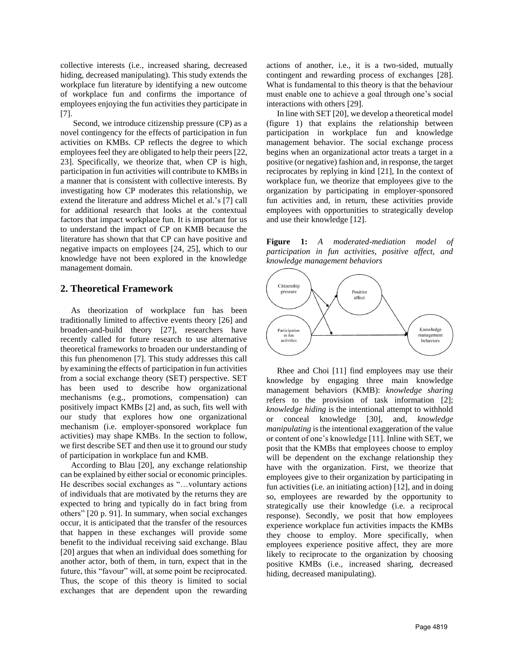collective interests (i.e., increased sharing, decreased hiding, decreased manipulating). This study extends the workplace fun literature by identifying a new outcome of workplace fun and confirms the importance of employees enjoying the fun activities they participate in [7].

 Second, we introduce citizenship pressure (CP) as a novel contingency for the effects of participation in fun activities on KMBs. CP reflects the degree to which employees feel they are obligated to help their peers [22, 23]. Specifically, we theorize that, when CP is high, participation in fun activities will contribute to KMBs in a manner that is consistent with collective interests. By investigating how CP moderates this relationship, we extend the literature and address Michel et al.'s [7] call for additional research that looks at the contextual factors that impact workplace fun. It is important for us to understand the impact of CP on KMB because the literature has shown that that CP can have positive and negative impacts on employees [24, 25], which to our knowledge have not been explored in the knowledge management domain.

# **2. Theoretical Framework**

 As theorization of workplace fun has been traditionally limited to affective events theory [26] and broaden-and-build theory [27], researchers have recently called for future research to use alternative theoretical frameworks to broaden our understanding of this fun phenomenon [7]. This study addresses this call by examining the effects of participation in fun activities from a social exchange theory (SET) perspective. SET has been used to describe how organizational mechanisms (e.g., promotions, compensation) can positively impact KMBs [2] and, as such, fits well with our study that explores how one organizational mechanism (i.e. employer-sponsored workplace fun activities) may shape KMBs. In the section to follow, we first describe SET and then use it to ground our study of participation in workplace fun and KMB.

 According to Blau [20], any exchange relationship can be explained by either social or economic principles. He describes social exchanges as "…voluntary actions of individuals that are motivated by the returns they are expected to bring and typically do in fact bring from others" [20 p. 91]. In summary, when social exchanges occur, it is anticipated that the transfer of the resources that happen in these exchanges will provide some benefit to the individual receiving said exchange. Blau [20] argues that when an individual does something for another actor, both of them, in turn, expect that in the future, this "favour" will, at some point be reciprocated. Thus, the scope of this theory is limited to social exchanges that are dependent upon the rewarding

actions of another, i.e., it is a two-sided, mutually contingent and rewarding process of exchanges [28]. What is fundamental to this theory is that the behaviour must enable one to achieve a goal through one's social interactions with others [29].

 In line with SET [20], we develop a theoretical model (figure 1) that explains the relationship between participation in workplace fun and knowledge management behavior. The social exchange process begins when an organizational actor treats a target in a positive (or negative) fashion and, in response, the target reciprocates by replying in kind [21], In the context of workplace fun, we theorize that employees give to the organization by participating in employer-sponsored fun activities and, in return, these activities provide employees with opportunities to strategically develop and use their knowledge [12].





 Rhee and Choi [11] find employees may use their knowledge by engaging three main knowledge management behaviors (KMB): *knowledge sharing* refers to the provision of task information [2]; *knowledge hiding* is the intentional attempt to withhold or conceal knowledge [30], and, *knowledge manipulating* is the intentional exaggeration of the value or content of one's knowledge [11]. Inline with SET, we posit that the KMBs that employees choose to employ will be dependent on the exchange relationship they have with the organization. First, we theorize that employees give to their organization by participating in fun activities (i.e. an initiating action) [12], and in doing so, employees are rewarded by the opportunity to strategically use their knowledge (i.e. a reciprocal response). Secondly, we posit that how employees experience workplace fun activities impacts the KMBs they choose to employ. More specifically, when employees experience positive affect, they are more likely to reciprocate to the organization by choosing positive KMBs (i.e., increased sharing, decreased hiding, decreased manipulating).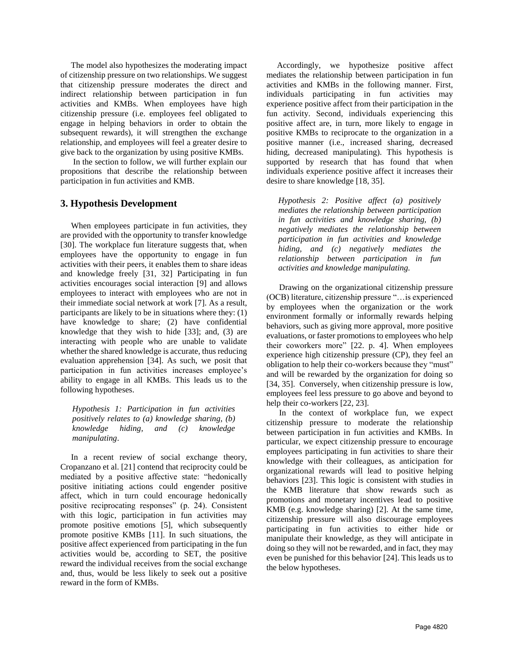The model also hypothesizes the moderating impact of citizenship pressure on two relationships. We suggest that citizenship pressure moderates the direct and indirect relationship between participation in fun activities and KMBs. When employees have high citizenship pressure (i.e. employees feel obligated to engage in helping behaviors in order to obtain the subsequent rewards), it will strengthen the exchange relationship, and employees will feel a greater desire to give back to the organization by using positive KMBs.

 In the section to follow, we will further explain our propositions that describe the relationship between participation in fun activities and KMB.

# **3. Hypothesis Development**

 When employees participate in fun activities, they are provided with the opportunity to transfer knowledge [30]. The workplace fun literature suggests that, when employees have the opportunity to engage in fun activities with their peers, it enables them to share ideas and knowledge freely [31, 32] Participating in fun activities encourages social interaction [9] and allows employees to interact with employees who are not in their immediate social network at work [7]. As a result, participants are likely to be in situations where they: (1) have knowledge to share; (2) have confidential knowledge that they wish to hide [33]; and, (3) are interacting with people who are unable to validate whether the shared knowledge is accurate, thus reducing evaluation apprehension [34]. As such, we posit that participation in fun activities increases employee's ability to engage in all KMBs. This leads us to the following hypotheses.

*Hypothesis 1: Participation in fun activities positively relates to (a) knowledge sharing, (b) knowledge hiding, and (c) knowledge manipulating*.

 In a recent review of social exchange theory, Cropanzano et al. [21] contend that reciprocity could be mediated by a positive affective state: "hedonically positive initiating actions could engender positive affect, which in turn could encourage hedonically positive reciprocating responses" (p. 24). Consistent with this logic, participation in fun activities may promote positive emotions [5], which subsequently promote positive KMBs [11]. In such situations, the positive affect experienced from participating in the fun activities would be, according to SET, the positive reward the individual receives from the social exchange and, thus, would be less likely to seek out a positive reward in the form of KMBs.

 Accordingly, we hypothesize positive affect mediates the relationship between participation in fun activities and KMBs in the following manner. First, individuals participating in fun activities may experience positive affect from their participation in the fun activity. Second, individuals experiencing this positive affect are, in turn, more likely to engage in positive KMBs to reciprocate to the organization in a positive manner (i.e., increased sharing, decreased hiding, decreased manipulating). This hypothesis is supported by research that has found that when individuals experience positive affect it increases their desire to share knowledge [18, 35].

*Hypothesis 2: Positive affect (a) positively mediates the relationship between participation in fun activities and knowledge sharing, (b) negatively mediates the relationship between participation in fun activities and knowledge hiding, and (c) negatively mediates the relationship between participation in fun activities and knowledge manipulating.*

 Drawing on the organizational citizenship pressure (OCB) literature, citizenship pressure "…is experienced by employees when the organization or the work environment formally or informally rewards helping behaviors, such as giving more approval, more positive evaluations, or faster promotions to employees who help their coworkers more" [22. p. 4]. When employees experience high citizenship pressure (CP), they feel an obligation to help their co-workers because they "must" and will be rewarded by the organization for doing so [34, 35]. Conversely, when citizenship pressure is low, employees feel less pressure to go above and beyond to help their co-workers [22, 23].

 In the context of workplace fun, we expect citizenship pressure to moderate the relationship between participation in fun activities and KMBs. In particular, we expect citizenship pressure to encourage employees participating in fun activities to share their knowledge with their colleagues, as anticipation for organizational rewards will lead to positive helping behaviors [23]. This logic is consistent with studies in the KMB literature that show rewards such as promotions and monetary incentives lead to positive KMB (e.g. knowledge sharing) [2]. At the same time, citizenship pressure will also discourage employees participating in fun activities to either hide or manipulate their knowledge, as they will anticipate in doing so they will not be rewarded, and in fact, they may even be punished for this behavior [24]. This leads us to the below hypotheses.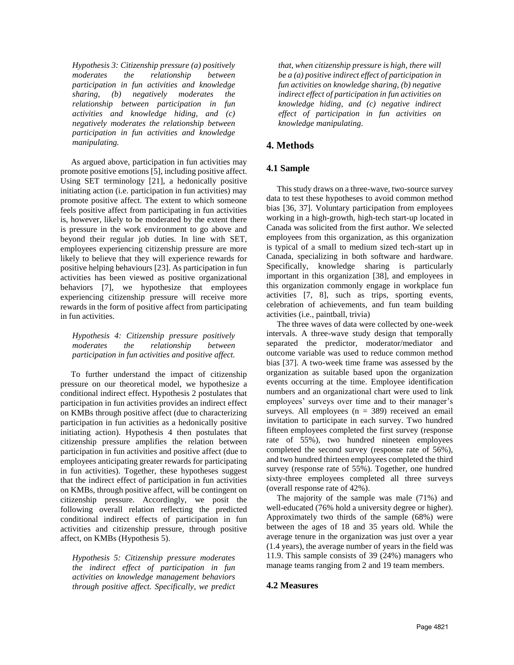*Hypothesis 3: Citizenship pressure (a) positively moderates the relationship between participation in fun activities and knowledge sharing, (b) negatively moderates the relationship between participation in fun activities and knowledge hiding, and (c) negatively moderates the relationship between participation in fun activities and knowledge manipulating.*

 As argued above, participation in fun activities may promote positive emotions [5], including positive affect. Using SET terminology [21], a hedonically positive initiating action (i.e. participation in fun activities) may promote positive affect. The extent to which someone feels positive affect from participating in fun activities is, however, likely to be moderated by the extent there is pressure in the work environment to go above and beyond their regular job duties. In line with SET, employees experiencing citizenship pressure are more likely to believe that they will experience rewards for positive helping behaviours [23]. As participation in fun activities has been viewed as positive organizational behaviors [7], we hypothesize that employees experiencing citizenship pressure will receive more rewards in the form of positive affect from participating in fun activities.

*Hypothesis 4: Citizenship pressure positively moderates the relationship between participation in fun activities and positive affect.*

 To further understand the impact of citizenship pressure on our theoretical model, we hypothesize a conditional indirect effect. Hypothesis 2 postulates that participation in fun activities provides an indirect effect on KMBs through positive affect (due to characterizing participation in fun activities as a hedonically positive initiating action). Hypothesis 4 then postulates that citizenship pressure amplifies the relation between participation in fun activities and positive affect (due to employees anticipating greater rewards for participating in fun activities). Together, these hypotheses suggest that the indirect effect of participation in fun activities on KMBs, through positive affect, will be contingent on citizenship pressure. Accordingly, we posit the following overall relation reflecting the predicted conditional indirect effects of participation in fun activities and citizenship pressure, through positive affect, on KMBs (Hypothesis 5).

*Hypothesis 5: Citizenship pressure moderates the indirect effect of participation in fun activities on knowledge management behaviors through positive affect. Specifically, we predict*  *that, when citizenship pressure is high, there will be a (a) positive indirect effect of participation in fun activities on knowledge sharing, (b) negative indirect effect of participation in fun activities on knowledge hiding, and (c) negative indirect effect of participation in fun activities on knowledge manipulating.*

# **4. Methods**

### **4.1 Sample**

 This study draws on a three-wave, two-source survey data to test these hypotheses to avoid common method bias [36, 37]. Voluntary participation from employees working in a high-growth, high-tech start-up located in Canada was solicited from the first author. We selected employees from this organization, as this organization is typical of a small to medium sized tech-start up in Canada, specializing in both software and hardware. Specifically, knowledge sharing is particularly important in this organization [38], and employees in this organization commonly engage in workplace fun activities [7, 8], such as trips, sporting events, celebration of achievements, and fun team building activities (i.e., paintball, trivia)

 The three waves of data were collected by one-week intervals. A three-wave study design that temporally separated the predictor, moderator/mediator and outcome variable was used to reduce common method bias [37]. A two-week time frame was assessed by the organization as suitable based upon the organization events occurring at the time. Employee identification numbers and an organizational chart were used to link employees' surveys over time and to their manager's surveys. All employees  $(n = 389)$  received an email invitation to participate in each survey. Two hundred fifteen employees completed the first survey (response rate of 55%), two hundred nineteen employees completed the second survey (response rate of 56%), and two hundred thirteen employees completed the third survey (response rate of 55%). Together, one hundred sixty-three employees completed all three surveys (overall response rate of 42%).

 The majority of the sample was male (71%) and well-educated (76% hold a university degree or higher). Approximately two thirds of the sample (68%) were between the ages of 18 and 35 years old. While the average tenure in the organization was just over a year (1.4 years), the average number of years in the field was 11.9. This sample consists of 39 (24%) managers who manage teams ranging from 2 and 19 team members.

#### **4.2 Measures**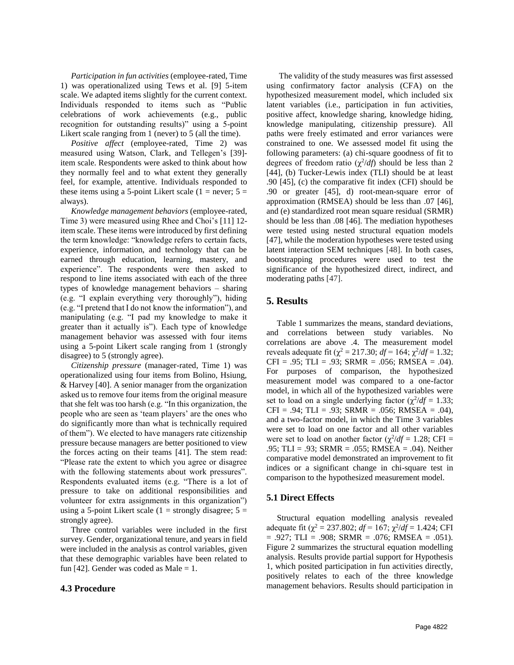*Participation in fun activities* (employee-rated, Time 1) was operationalized using Tews et al. [9] 5-item scale. We adapted items slightly for the current context. Individuals responded to items such as "Public celebrations of work achievements (e.g., public recognition for outstanding results)" using a 5-point Likert scale ranging from 1 (never) to 5 (all the time).

 *Positive affect* (employee-rated, Time 2) was measured using Watson, Clark, and Tellegen's [39] item scale. Respondents were asked to think about how they normally feel and to what extent they generally feel, for example, attentive. Individuals responded to these items using a 5-point Likert scale (1 = never;  $5 =$ always).

 *Knowledge management behaviors* (employee-rated, Time 3) were measured using Rhee and Choi's [11] 12 item scale. These items were introduced by first defining the term knowledge: "knowledge refers to certain facts, experience, information, and technology that can be earned through education, learning, mastery, and experience". The respondents were then asked to respond to line items associated with each of the three types of knowledge management behaviors – sharing (e.g. "I explain everything very thoroughly"), hiding (e.g. "I pretend that I do not know the information"), and manipulating (e.g. "I pad my knowledge to make it greater than it actually is"). Each type of knowledge management behavior was assessed with four items using a 5-point Likert scale ranging from 1 (strongly disagree) to 5 (strongly agree).

 *Citizenship pressure* (manager-rated, Time 1) was operationalized using four items from Bolino, Hsiung, & Harvey [40]. A senior manager from the organization asked us to remove four items from the original measure that she felt was too harsh (e.g. "In this organization, the people who are seen as 'team players' are the ones who do significantly more than what is technically required of them"). We elected to have managers rate citizenship pressure because managers are better positioned to view the forces acting on their teams [41]. The stem read: "Please rate the extent to which you agree or disagree with the following statements about work pressures". Respondents evaluated items (e.g. "There is a lot of pressure to take on additional responsibilities and volunteer for extra assignments in this organization") using a 5-point Likert scale ( $1 =$  strongly disagree;  $5 =$ strongly agree).

 Three control variables were included in the first survey. Gender, organizational tenure, and years in field were included in the analysis as control variables, given that these demographic variables have been related to fun [42]. Gender was coded as Male = 1.

#### **4.3 Procedure**

 The validity of the study measures was first assessed using confirmatory factor analysis (CFA) on the hypothesized measurement model, which included six latent variables (i.e., participation in fun activities, positive affect, knowledge sharing, knowledge hiding, knowledge manipulating, citizenship pressure). All paths were freely estimated and error variances were constrained to one. We assessed model fit using the following parameters: (a) chi-square goodness of fit to degrees of freedom ratio  $(\chi^2/df)$  should be less than 2 [44], (b) Tucker-Lewis index (TLI) should be at least .90 [45], (c) the comparative fit index (CFI) should be .90 or greater [45], d) root-mean-square error of approximation (RMSEA) should be less than .07 [46], and (e) standardized root mean square residual (SRMR) should be less than .08 [46]. The mediation hypotheses were tested using nested structural equation models [47], while the moderation hypotheses were tested using latent interaction SEM techniques [48]. In both cases, bootstrapping procedures were used to test the significance of the hypothesized direct, indirect, and moderating paths [47].

### **5. Results**

 Table 1 summarizes the means, standard deviations, and correlations between study variables. No correlations are above .4. The measurement model reveals adequate fit ( $\chi^2 = 217.30$ ;  $df = 164$ ;  $\chi^2/df = 1.32$ ;  $CFI = .95$ ; TLI = .93; SRMR = .056; RMSEA = .04). For purposes of comparison, the hypothesized measurement model was compared to a one-factor model, in which all of the hypothesized variables were set to load on a single underlying factor  $(\chi^2/df = 1.33)$ ;  $CFI = .94$ ; TLI = .93; SRMR = .056; RMSEA = .04), and a two-factor model, in which the Time 3 variables were set to load on one factor and all other variables were set to load on another factor  $(\chi^2/df = 1.28; CFI =$ .95; TLI = .93; SRMR = .055; RMSEA = .04). Neither comparative model demonstrated an improvement to fit indices or a significant change in chi-square test in comparison to the hypothesized measurement model.

#### **5.1 Direct Effects**

 Structural equation modelling analysis revealed adequate fit ( $\chi^2 = 237.802$ ;  $df = 167$ ;  $\chi^2/df = 1.424$ ; CFI  $= .927$ ; TLI  $= .908$ ; SRMR  $= .076$ ; RMSEA  $= .051$ ). Figure 2 summarizes the structural equation modelling analysis. Results provide partial support for Hypothesis 1, which posited participation in fun activities directly, positively relates to each of the three knowledge management behaviors. Results should participation in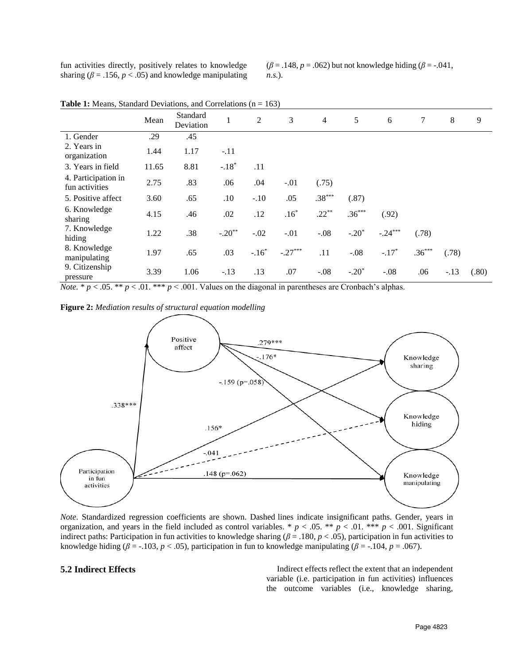fun activities directly, positively relates to knowledge sharing ( $\beta$  = .156,  $p$  < .05) and knowledge manipulating ( $\beta$  = .148,  $p$  = .062) but not knowledge hiding ( $\beta$  = -.041, *n.s.*).

|                                       | Mean  | Standard<br>Deviation | 1        | 2       | 3         | $\overline{4}$ | 5        | 6         | 7        | 8      | 9     |
|---------------------------------------|-------|-----------------------|----------|---------|-----------|----------------|----------|-----------|----------|--------|-------|
| 1. Gender                             | .29   | .45                   |          |         |           |                |          |           |          |        |       |
| 2. Years in<br>organization           | 1.44  | 1.17                  | $-.11$   |         |           |                |          |           |          |        |       |
| 3. Years in field                     | 11.65 | 8.81                  | $-.18*$  | .11     |           |                |          |           |          |        |       |
| 4. Participation in<br>fun activities | 2.75  | .83                   | .06      | .04     | $-.01$    | (.75)          |          |           |          |        |       |
| 5. Positive affect                    | 3.60  | .65                   | .10      | $-.10$  | .05       | $.38***$       | (.87)    |           |          |        |       |
| 6. Knowledge<br>sharing               | 4.15  | .46                   | .02      | .12     | $.16*$    | $.22***$       | $.36***$ | (.92)     |          |        |       |
| 7. Knowledge<br>hiding                | 1.22  | .38                   | $-.20**$ | $-.02$  | $-.01$    | $-.08$         | $-.20*$  | $-.24***$ | (.78)    |        |       |
| 8. Knowledge<br>manipulating          | 1.97  | .65                   | .03      | $-.16*$ | $-.27***$ | .11            | $-.08$   | $-.17*$   | $.36***$ | (.78)  |       |
| 9. Citizenship<br>pressure            | 3.39  | 1.06                  | $-.13$   | .13     | .07       | $-.08$         | $-.20*$  | $-.08$    | .06      | $-.13$ | (.80) |

**Table 1:** Means, Standard Deviations, and Correlations (n = 163)

*Note.*  $* p < .05$ .  $** p < .01$ .  $** p < .001$ . Values on the diagonal in parentheses are Cronbach's alphas.

**Figure 2:** *Mediation results of structural equation modelling*



*Note*. Standardized regression coefficients are shown. Dashed lines indicate insignificant paths. Gender, years in organization, and years in the field included as control variables. \*  $p < .05$ . \*\*  $p < .01$ . \*\*\*  $p < .001$ . Significant indirect paths: Participation in fun activities to knowledge sharing ( $\beta = 0.180$ ,  $p < 0.05$ ), participation in fun activities to knowledge hiding ( $\beta$  = -.103,  $p$  < .05), participation in fun to knowledge manipulating ( $\beta$  = -.104,  $p$  = .067).

**5.2 Indirect Effects** Indirect effects reflect the extent that an independent variable (i.e. participation in fun activities) influences the outcome variables (i.e., knowledge sharing,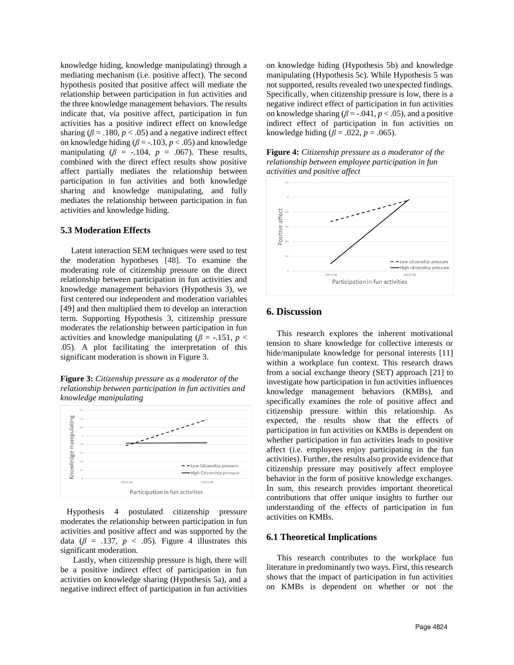knowledge hiding, knowledge manipulating) through a mediating mechanism (i.e. positive affect). The second hypothesis posited that positive affect will mediate the relationship between participation in fun activities and the three knowledge management behaviors. The results indicate that, via positive affect, participation in fun activities has a positive indirect effect on knowledge sharing ( $\beta$  = .180,  $p$  < .05) and a negative indirect effect on knowledge hiding ( $\beta$  = -.103,  $p$  < .05) and knowledge manipulating  $(\beta = -.104, p = .067)$ . These results, combined with the direct effect results show positive affect partially mediates the relationship between participation in fun activities and both knowledge sharing and knowledge manipulating, and fully mediates the relationship between participation in fun activities and knowledge hiding.

#### **5.3 Moderation Effects**

 Latent interaction SEM techniques were used to test the moderation hypotheses [48]. To examine the moderating role of citizenship pressure on the direct relationship between participation in fun activities and knowledge management behaviors (Hypothesis 3), we first centered our independent and moderation variables [49] and then multiplied them to develop an interaction term. Supporting Hypothesis 3, citizenship pressure moderates the relationship between participation in fun activities and knowledge manipulating ( $\beta$  = -.151, *p* < .05). A plot facilitating the interpretation of this significant moderation is shown in Figure 3.

**Figure 3:** *Citizenship pressure as a moderator of the relationship between participation in fun activities and knowledge manipulating*



 Hypothesis 4 postulated citizenship pressure moderates the relationship between participation in fun activities and positive affect and was supported by the data ( $\beta$  = .137,  $p \lt .05$ ). Figure 4 illustrates this significant moderation.

 Lastly, when citizenship pressure is high, there will be a positive indirect effect of participation in fun activities on knowledge sharing (Hypothesis 5a), and a negative indirect effect of participation in fun activities

on knowledge hiding (Hypothesis 5b) and knowledge manipulating (Hypothesis 5c). While Hypothesis 5 was not supported, results revealed two unexpected findings. Specifically, when citizenship pressure is low, there is a negative indirect effect of participation in fun activities on knowledge sharing ( $\beta$  = -.041,  $p$  < .05), and a positive indirect effect of participation in fun activities on knowledge hiding ( $\beta$  = .022,  $p$  = .065).

| <b>Figure 4:</b> Citizenship pressure as a moderator of the |
|-------------------------------------------------------------|
| relationship between employee participation in fun          |
| activities and positive affect                              |



### **6. Discussion**

 This research explores the inherent motivational tension to share knowledge for collective interests or hide/manipulate knowledge for personal interests [11] within a workplace fun context. This research draws from a social exchange theory (SET) approach [21] to investigate how participation in fun activities influences knowledge management behaviors (KMBs), and specifically examines the role of positive affect and citizenship pressure within this relationship. As expected, the results show that the effects of participation in fun activities on KMBs is dependent on whether participation in fun activities leads to positive affect (i.e. employees enjoy participating in the fun activities). Further, the results also provide evidence that citizenship pressure may positively affect employee behavior in the form of positive knowledge exchanges. In sum, this research provides important theoretical contributions that offer unique insights to further our understanding of the effects of participation in fun activities on KMBs.

#### **6.1 Theoretical Implications**

 This research contributes to the workplace fun literature in predominantly two ways. First, this research shows that the impact of participation in fun activities on KMBs is dependent on whether or not the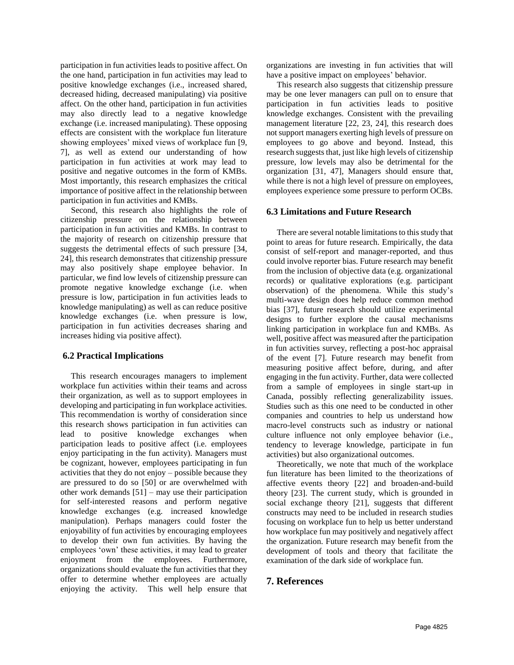participation in fun activities leads to positive affect. On the one hand, participation in fun activities may lead to positive knowledge exchanges (i.e., increased shared, decreased hiding, decreased manipulating) via positive affect. On the other hand, participation in fun activities may also directly lead to a negative knowledge exchange (i.e. increased manipulating). These opposing effects are consistent with the workplace fun literature showing employees' mixed views of workplace fun [9, 7], as well as extend our understanding of how participation in fun activities at work may lead to positive and negative outcomes in the form of KMBs. Most importantly, this research emphasizes the critical importance of positive affect in the relationship between participation in fun activities and KMBs.

 Second, this research also highlights the role of citizenship pressure on the relationship between participation in fun activities and KMBs. In contrast to the majority of research on citizenship pressure that suggests the detrimental effects of such pressure [34, 24], this research demonstrates that citizenship pressure may also positively shape employee behavior. In particular, we find low levels of citizenship pressure can promote negative knowledge exchange (i.e. when pressure is low, participation in fun activities leads to knowledge manipulating) as well as can reduce positive knowledge exchanges (i.e. when pressure is low, participation in fun activities decreases sharing and increases hiding via positive affect).

### **6.2 Practical Implications**

This research encourages managers to implement workplace fun activities within their teams and across their organization, as well as to support employees in developing and participating in fun workplace activities. This recommendation is worthy of consideration since this research shows participation in fun activities can lead to positive knowledge exchanges when participation leads to positive affect (i.e. employees enjoy participating in the fun activity). Managers must be cognizant, however, employees participating in fun activities that they do not enjoy – possible because they are pressured to do so [50] or are overwhelmed with other work demands [51] – may use their participation for self-interested reasons and perform negative knowledge exchanges (e.g. increased knowledge manipulation). Perhaps managers could foster the enjoyability of fun activities by encouraging employees to develop their own fun activities. By having the employees 'own' these activities, it may lead to greater enjoyment from the employees. Furthermore, organizations should evaluate the fun activities that they offer to determine whether employees are actually enjoying the activity. This well help ensure that

organizations are investing in fun activities that will have a positive impact on employees' behavior.

 This research also suggests that citizenship pressure may be one lever managers can pull on to ensure that participation in fun activities leads to positive knowledge exchanges. Consistent with the prevailing management literature [22, 23, 24], this research does not support managers exerting high levels of pressure on employees to go above and beyond. Instead, this research suggests that, just like high levels of citizenship pressure, low levels may also be detrimental for the organization [31, 47], Managers should ensure that, while there is not a high level of pressure on employees, employees experience some pressure to perform OCBs.

#### **6.3 Limitations and Future Research**

 There are several notable limitations to this study that point to areas for future research. Empirically, the data consist of self-report and manager-reported, and thus could involve reporter bias. Future research may benefit from the inclusion of objective data (e.g. organizational records) or qualitative explorations (e.g. participant observation) of the phenomena. While this study's multi-wave design does help reduce common method bias [37], future research should utilize experimental designs to further explore the causal mechanisms linking participation in workplace fun and KMBs. As well, positive affect was measured after the participation in fun activities survey, reflecting a post-hoc appraisal of the event [7]. Future research may benefit from measuring positive affect before, during, and after engaging in the fun activity. Further, data were collected from a sample of employees in single start-up in Canada, possibly reflecting generalizability issues. Studies such as this one need to be conducted in other companies and countries to help us understand how macro-level constructs such as industry or national culture influence not only employee behavior (i.e., tendency to leverage knowledge, participate in fun activities) but also organizational outcomes.

 Theoretically, we note that much of the workplace fun literature has been limited to the theorizations of affective events theory [22] and broaden-and-build theory [23]. The current study, which is grounded in social exchange theory [21], suggests that different constructs may need to be included in research studies focusing on workplace fun to help us better understand how workplace fun may positively and negatively affect the organization. Future research may benefit from the development of tools and theory that facilitate the examination of the dark side of workplace fun.

# **7. References**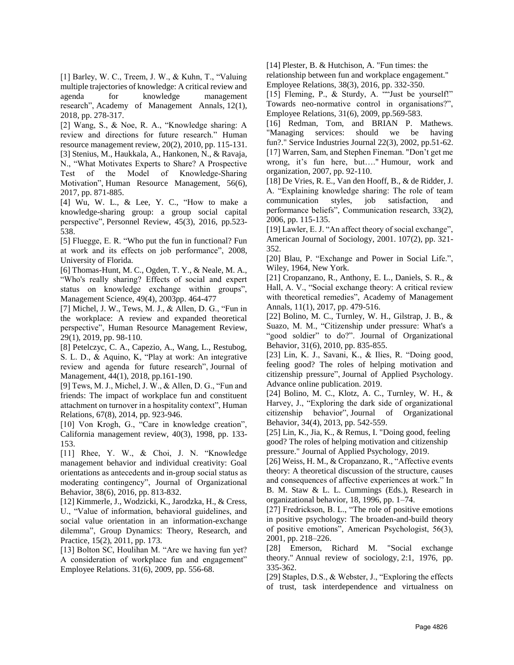[1] Barley, W. C., Treem, J. W., & Kuhn, T., "Valuing multiple trajectories of knowledge: A critical review and agenda for knowledge management research", Academy of Management Annals, 12(1), 2018, pp. 278-317.

[2] Wang, S., & Noe, R. A., "Knowledge sharing: A review and directions for future research." Human resource management review, 20(2), 2010, pp. 115-131. [3] Stenius, M., Haukkala, A., Hankonen, N., & Ravaja,

N., "What Motivates Experts to Share? A Prospective Test of the Model of Knowledge-Sharing Motivation", Human Resource Management, 56(6), 2017, pp. 871-885.

[4] Wu, W. L., & Lee, Y. C., "How to make a knowledge-sharing group: a group social capital perspective", Personnel Review, 45(3), 2016, pp.523- 538.

[5] Fluegge, E. R. "Who put the fun in functional? Fun at work and its effects on job performance", 2008, University of Florida.

[6] Thomas-Hunt, M. C., Ogden, T. Y., & Neale, M. A., "Who's really sharing? Effects of social and expert status on knowledge exchange within groups", Management Science, 49(4), 2003pp. 464-477

[7] Michel, J. W., Tews, M. J., & Allen, D. G., "Fun in the workplace: A review and expanded theoretical perspective", Human Resource Management Review, 29(1), 2019, pp. 98-110.

[8] Petelczyc, C. A., Capezio, A., Wang, L., Restubog, S. L. D., & Aquino, K, "Play at work: An integrative review and agenda for future research", Journal of Management, 44(1), 2018, pp.161-190.

[9] Tews, M. J., Michel, J. W., & Allen, D. G., "Fun and friends: The impact of workplace fun and constituent attachment on turnover in a hospitality context", Human Relations, 67(8), 2014, pp. 923-946.

[10] Von Krogh, G., "Care in knowledge creation", California management review, 40(3), 1998, pp. 133- 153.

[11] Rhee, Y. W., & Choi, J. N. "Knowledge management behavior and individual creativity: Goal orientations as antecedents and in‐group social status as moderating contingency", Journal of Organizational Behavior, 38(6), 2016, pp. 813-832.

[12] Kimmerle, J., Wodzicki, K., Jarodzka, H., & Cress, U., "Value of information, behavioral guidelines, and social value orientation in an information-exchange dilemma", Group Dynamics: Theory, Research, and Practice, 15(2), 2011, pp. 173.

[13] Bolton SC, Houlihan M. "Are we having fun yet? A consideration of workplace fun and engagement" Employee Relations. 31(6), 2009, pp. 556-68.

[14] Plester, B. & Hutchison, A. "Fun times: the

relationship between fun and workplace engagement." Employee Relations, 38(3), 2016, pp. 332-350.

[15] Fleming, P., & Sturdy, A. ""Just be yourself!" Towards neo-normative control in organisations?", Employee Relations, 31(6), 2009, pp.569-583.

[16] Redman, Tom, and BRIAN P. Mathews. "Managing services: should we be having fun?." Service Industries Journal 22(3), 2002, pp.51-62. [17] Warren, Sam, and Stephen Fineman. "Don't get me wrong, it's fun here, but…." Humour, work and organization, 2007, pp. 92-110.

[18] De Vries, R. E., Van den Hooff, B., & de Ridder, J. A. "Explaining knowledge sharing: The role of team communication styles, job satisfaction, and performance beliefs", Communication research, 33(2), 2006, pp. 115-135.

[19] Lawler, E. J. "An affect theory of social exchange", American Journal of Sociology, 2001. 107(2), pp. 321- 352.

[20] Blau, P. "Exchange and Power in Social Life.", Wiley, 1964, New York.

[21] Cropanzano, R., Anthony, E. L., Daniels, S. R., & Hall, A. V., "Social exchange theory: A critical review with theoretical remedies", Academy of Management Annals, 11(1), 2017, pp. 479-516.

[22] Bolino, M. C., Turnley, W. H., Gilstrap, J. B.,  $\&$ Suazo, M. M., "Citizenship under pressure: What's a "good soldier" to do?". Journal of Organizational Behavior, 31(6), 2010, pp. 835-855.

[23] Lin, K. J., Savani, K., & Ilies, R. "Doing good, feeling good? The roles of helping motivation and citizenship pressure", Journal of Applied Psychology. Advance online publication. 2019.

[24] Bolino, M. C., Klotz, A. C., Turnley, W. H., & Harvey, J., "Exploring the dark side of organizational citizenship behavior", Journal of Organizational Behavior, 34(4), 2013, pp. 542-559.

[25] Lin, K., Jia, K., & Remus, I. "Doing good, feeling good? The roles of helping motivation and citizenship pressure." Journal of Applied Psychology, 2019.

[26] Weiss, H. M., & Cropanzano, R., "Affective events theory: A theoretical discussion of the structure, causes and consequences of affective experiences at work." In B. M. Staw & L. L. Cummings (Eds.), Research in organizational behavior, 18, 1996, pp. 1–74.

[27] Fredrickson, B. L., "The role of positive emotions in positive psychology: The broaden-and-build theory of positive emotions", American Psychologist, 56(3), 2001, pp. 218–226.

[28] Emerson, Richard M. "Social exchange theory." Annual review of sociology, 2:1, 1976, pp. 335-362.

[29] Staples, D.S., & Webster, J., "Exploring the effects of trust, task interdependence and virtualness on